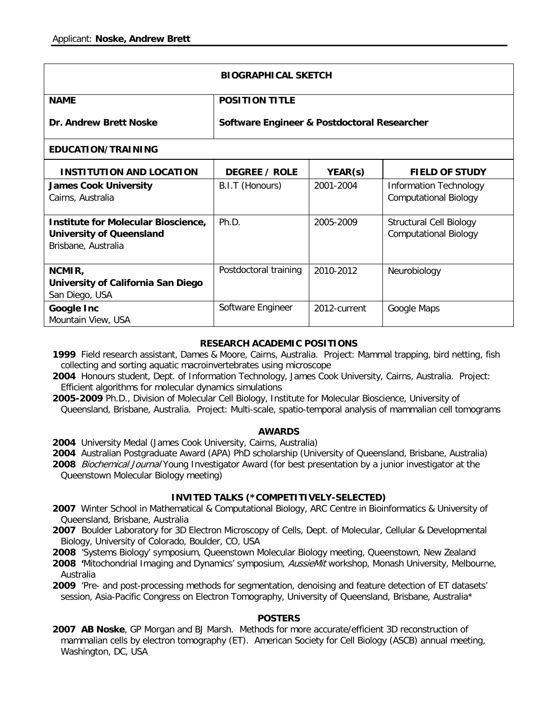| <b>BIOGRAPHICAL SKETCH</b>                                                                    |                                             |              |                                                                |
|-----------------------------------------------------------------------------------------------|---------------------------------------------|--------------|----------------------------------------------------------------|
| <b>NAME</b>                                                                                   | <b>POSITION TITLE</b>                       |              |                                                                |
| Dr. Andrew Brett Noske                                                                        | Software Engineer & Postdoctoral Researcher |              |                                                                |
| EDUCATION/TRAINING                                                                            |                                             |              |                                                                |
| <b>INSTITUTION AND LOCATION</b>                                                               | <b>DEGREE / ROLE</b>                        | YEAR(s)      | <b>FIELD OF STUDY</b>                                          |
| <b>James Cook University</b><br>Cairns, Australia                                             | B.I.T (Honours)                             | 2001-2004    | <b>Information Technology</b><br><b>Computational Biology</b>  |
| Institute for Molecular Bioscience,<br><b>University of Queensland</b><br>Brisbane, Australia | Ph.D.                                       | 2005-2009    | <b>Structural Cell Biology</b><br><b>Computational Biology</b> |
| NCMIR,<br>University of California San Diego<br>San Diego, USA                                | Postdoctoral training                       | 2010-2012    | Neurobiology                                                   |
| Google Inc<br>Mountain View, USA                                                              | Software Engineer                           | 2012-current | Google Maps                                                    |

# **RESEARCH ACADEMIC POSITIONS**

- **1999** Field research assistant, Dames & Moore, Cairns, Australia. Project: Mammal trapping, bird netting, fish collecting and sorting aquatic macroinvertebrates using microscope
- **2004** Honours student, Dept. of Information Technology, James Cook University, Cairns, Australia. Project: Efficient algorithms for molecular dynamics simulations
- **2005-2009** Ph.D., Division of Molecular Cell Biology, Institute for Molecular Bioscience, University of Queensland, Brisbane, Australia. Project: Multi-scale, spatio-temporal analysis of mammalian cell tomograms

## **AWARDS**

- **2004** University Medal (James Cook University, Cairns, Australia)
- **2004** Australian Postgraduate Award (APA) PhD scholarship (University of Queensland, Brisbane, Australia)
- **2008** Biochemical Journal Young Investigator Award (for best presentation by a junior investigator at the Queenstown Molecular Biology meeting)

## **INVITED TALKS (\*COMPETITIVELY-SELECTED)**

- **2007** Winter School in Mathematical & Computational Biology, ARC Centre in Bioinformatics & University of Queensland, Brisbane, Australia
- **2007** Boulder Laboratory for 3D Electron Microscopy of Cells, Dept. of Molecular, Cellular & Developmental Biology, University of Colorado, Boulder, CO, USA
- **2008** 'Systems Biology' symposium, Queenstown Molecular Biology meeting, Queenstown, New Zealand
- **2008 '**Mitochondrial Imaging and Dynamics' symposium, AussieMit workshop, Monash University, Melbourne, Australia

**2009** 'Pre- and post-processing methods for segmentation, denoising and feature detection of ET datasets' session, Asia-Pacific Congress on Electron Tomography, University of Queensland, Brisbane, Australia\*

## **POSTERS**

**2007 AB Noske**, GP Morgan and BJ Marsh. Methods for more accurate/efficient 3D reconstruction of mammalian cells by electron tomography (ET). American Society for Cell Biology (ASCB) annual meeting, Washington, DC, USA